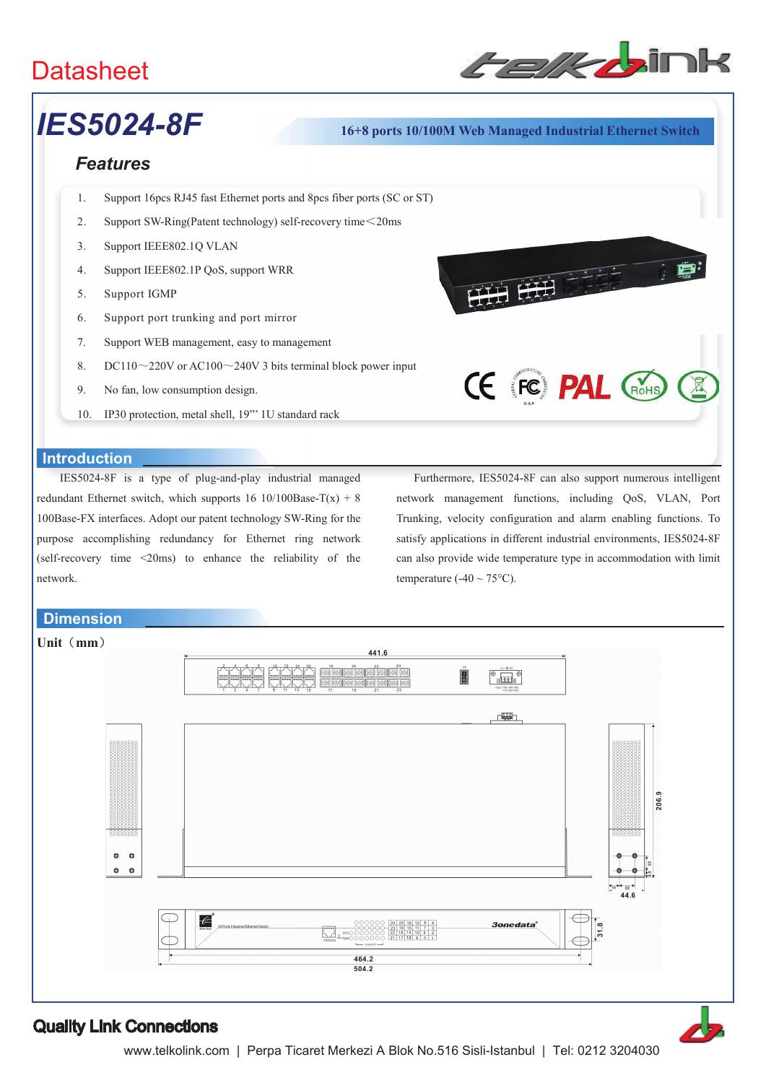# **Datasheet**



## *IES5024-8F* **16+8 ports 10/100M Web Managed Industrial Ethernet Switch**

### *Features*

- 1. Support 16pcs RJ45 fast Ethernet ports and 8pcs fiber ports (SC or ST)
- 2. Support SW-Ring(Patent technology) self-recovery time $\leq$ 20ms
- 3. Support IEEE802.1Q VLAN
- 4. Support IEEE802.1P QoS, support WRR
- 5. Support IGMP
- 6. Support port trunking and port mirror
- 7. Support WEB management, easy to management
- 8. DC110 $\sim$ 220V or AC100 $\sim$ 240V 3 bits terminal block power input
- 9. No fan, low consumption design.
- 10. IP30 protection, metal shell, 19"' 1U standard rack

#### **Introduction**

IES5024-8F is a type of plug-and-play industrial managed redundant Ethernet switch, which supports  $16 \frac{10}{100Base-T(x)} + 8$ 100Base-FX interfaces. Adopt our patent technology SW-Ring for the purpose accomplishing redundancy for Ethernet ring network (self-recovery time <20ms) to enhance the reliability of the network.

 Furthermore, IES5024-8F can also support numerous intelligent network management functions, including QoS, VLAN, Port Trunking, velocity configuration and alarm enabling functions. To satisfy applications in different industrial environments, IES5024-8F can also provide wide temperature type in accommodation with limit temperature (-40  $\sim$  75 $^{\circ}$ C).

**CE FC PAL GROHS** 

### **Dimension**



### Quality Link Connections